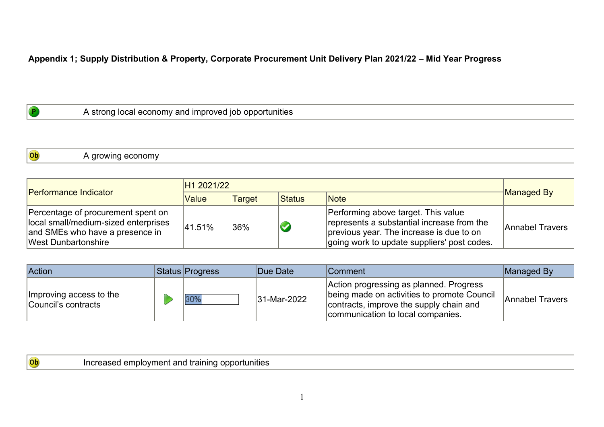## **Appendix 1; Supply Distribution & Property, Corporate Procurement Unit Delivery Plan 2021/22 – Mid Year Progress**

| opportunities<br>lot<br>anc<br>nnr<br>วทเ<br>-Ir<br>TIV<br>511<br>17 J I<br>wei<br>-<br>11.77 |
|-----------------------------------------------------------------------------------------------|
|-----------------------------------------------------------------------------------------------|

Ob A growing economy

| <b>Performance Indicator</b>                                                                                                         | H <sub>1</sub> 2021/22 |         |        |                                                                                                                                                                              |                 |
|--------------------------------------------------------------------------------------------------------------------------------------|------------------------|---------|--------|------------------------------------------------------------------------------------------------------------------------------------------------------------------------------|-----------------|
|                                                                                                                                      | Value                  | Target  | Status | <b>Note</b>                                                                                                                                                                  | Managed By      |
| Percentage of procurement spent on<br>local small/medium-sized enterprises<br>and SMEs who have a presence in<br>West Dunbartonshire | 41.51%                 | $136\%$ |        | Performing above target. This value<br>represents a substantial increase from the<br>previous year. The increase is due to on<br>going work to update suppliers' post codes. | Annabel Travers |

| Action                                         | <b>Status Progress</b> | Due Date    | Comment                                                                                                                                                                | Managed By      |
|------------------------------------------------|------------------------|-------------|------------------------------------------------------------------------------------------------------------------------------------------------------------------------|-----------------|
| Improving access to the<br>Council's contracts | 30%                    | 31-Mar-2022 | Action progressing as planned. Progress<br>being made on activities to promote Council<br>contracts, improve the supply chain and<br>communication to local companies. | Annabel Travers |

| $ $ (Ob) | In(<br>™เนniueJ<br>.rain<br>апс<br>w<br>ne<br>010 |
|----------|---------------------------------------------------|
|          |                                                   |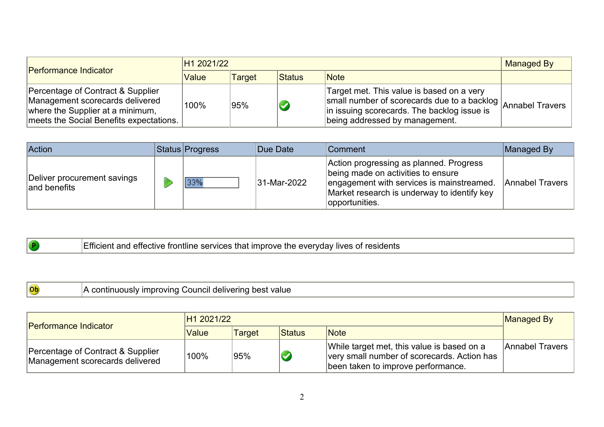| <b>Performance Indicator</b>                                                                                                                        | H1 2021/22 |        |        |                                                                                                                                                                                                                                  | <b>Managed By</b> |
|-----------------------------------------------------------------------------------------------------------------------------------------------------|------------|--------|--------|----------------------------------------------------------------------------------------------------------------------------------------------------------------------------------------------------------------------------------|-------------------|
|                                                                                                                                                     | Value      | Target | Status | <b>Note</b>                                                                                                                                                                                                                      |                   |
| Percentage of Contract & Supplier<br>Management scorecards delivered<br>where the Supplier at a minimum,<br>meets the Social Benefits expectations. | 100%       | 95%    |        | Target met. This value is based on a very<br>$\frac{d}{dx}$ set the $\frac{d}{dx}$ of scorecards due to a backlog $\frac{1}{2}$ Annabel Travers<br>in issuing scorecards. The backlog issue is<br>being addressed by management. |                   |

| Action                                      | Status Progress | Due Date    | <b>Comment</b>                                                                                                                                                                              | Managed By      |
|---------------------------------------------|-----------------|-------------|---------------------------------------------------------------------------------------------------------------------------------------------------------------------------------------------|-----------------|
| Deliver procurement savings<br>and benefits |                 | 31-Mar-2022 | Action progressing as planned. Progress<br>being made on activities to ensure<br>engagement with services is mainstreamed.<br>Market research is underway to identify key<br>opportunities. | Annabel Travers |

| <br>.<br>esidents<br>everyday<br>lives<br>ontline<br><b>CAMILO</b><br>-improve<br>- Inc<br>. mclent.<br>enective<br>---<br>ाट<br><b>VUH</b><br>יוטה.<br>- 360 |
|---------------------------------------------------------------------------------------------------------------------------------------------------------------|
|                                                                                                                                                               |

| $ $ (Ob) | valuc<br>ou<br>18111/1<br>''<br>. . |
|----------|-------------------------------------|
|----------|-------------------------------------|

| <b>Performance Indicator</b>                                         | H <sub>1</sub> 2021/22 | Managed By    |        |                                                                                                                                 |                 |
|----------------------------------------------------------------------|------------------------|---------------|--------|---------------------------------------------------------------------------------------------------------------------------------|-----------------|
|                                                                      | Value                  | <b>Target</b> | Status | Note                                                                                                                            |                 |
| Percentage of Contract & Supplier<br>Management scorecards delivered | $^{\backprime}$ 100%   | 95%           |        | While target met, this value is based on a<br>very small number of scorecards. Action has<br>been taken to improve performance. | Annabel Travers |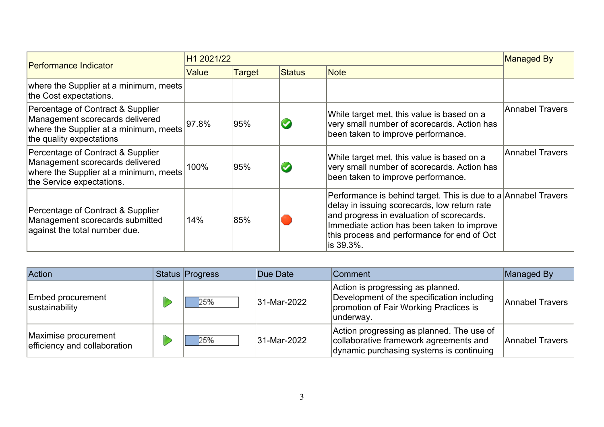|                                                                                                                                             | H1 2021/22 |        |               |                                                                                                                                                                                                                                                                        | Managed By      |
|---------------------------------------------------------------------------------------------------------------------------------------------|------------|--------|---------------|------------------------------------------------------------------------------------------------------------------------------------------------------------------------------------------------------------------------------------------------------------------------|-----------------|
| <b>Performance Indicator</b>                                                                                                                | Value      | Target | <b>Status</b> | <b>Note</b>                                                                                                                                                                                                                                                            |                 |
| where the Supplier at a minimum, meets<br>the Cost expectations.                                                                            |            |        |               |                                                                                                                                                                                                                                                                        |                 |
| Percentage of Contract & Supplier<br>Management scorecards delivered<br>where the Supplier at a minimum, meets<br>the quality expectations  | 97.8%      | 95%    |               | While target met, this value is based on a<br>very small number of scorecards. Action has<br>been taken to improve performance.                                                                                                                                        | Annabel Travers |
| Percentage of Contract & Supplier<br>Management scorecards delivered<br>where the Supplier at a minimum, meets<br>the Service expectations. | 100%       | 95%    |               | While target met, this value is based on a<br>very small number of scorecards. Action has<br>been taken to improve performance.                                                                                                                                        | Annabel Travers |
| Percentage of Contract & Supplier<br>Management scorecards submitted<br>against the total number due.                                       | 14%        | 85%    |               | Performance is behind target. This is due to a Annabel Travers<br>delay in issuing scorecards, low return rate<br>and progress in evaluation of scorecards.<br>Immediate action has been taken to improve<br>this process and performance for end of Oct<br>lis 39.3%. |                 |

| <b>Action</b>                                        | Status Progress | Due Date    | <b>Comment</b>                                                                                                                          | Managed By      |
|------------------------------------------------------|-----------------|-------------|-----------------------------------------------------------------------------------------------------------------------------------------|-----------------|
| <b>Embed procurement</b><br>sustainability           | 25%             | 31-Mar-2022 | Action is progressing as planned.<br>Development of the specification including<br>promotion of Fair Working Practices is<br>∣underway. | Annabel Travers |
| Maximise procurement<br>efficiency and collaboration | 25%             | 31-Mar-2022 | Action progressing as planned. The use of<br>collaborative framework agreements and<br>dynamic purchasing systems is continuing         | Annabel Travers |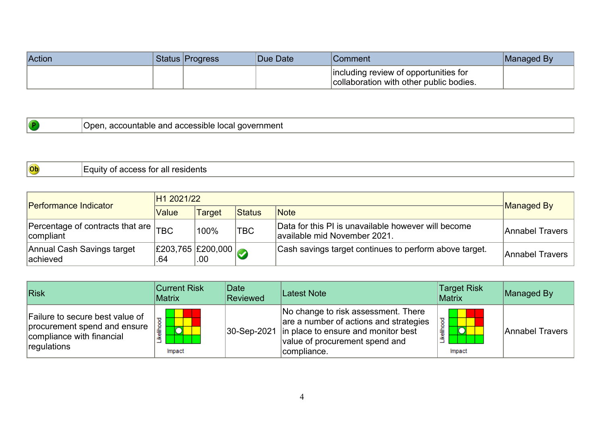| Action | Status Progress | <b>Due Date</b> | Comment/                                                                         | Managed By |
|--------|-----------------|-----------------|----------------------------------------------------------------------------------|------------|
|        |                 |                 | including review of opportunities for<br>collaboration with other public bodies. |            |

|  | government<br>300<br>accountable<br>and<br>~~<br><br>, auucssiule<br>ЮU<br>. . |
|--|--------------------------------------------------------------------------------|
|--|--------------------------------------------------------------------------------|

| $ $ Ob | residents<br>TOI<br>.<br>¬∼<br>nт<br>лг<br><b>AU</b><br>--<br>au.<br>uuwa |
|--------|---------------------------------------------------------------------------|
|--------|---------------------------------------------------------------------------|

| <b>Performance Indicator</b>                              | H1 2021/22                                        |               |               |                                                                                     |                 |  |
|-----------------------------------------------------------|---------------------------------------------------|---------------|---------------|-------------------------------------------------------------------------------------|-----------------|--|
|                                                           | Value                                             | <b>Target</b> | <b>Status</b> | <b>Note</b>                                                                         | Managed By      |  |
| Percentage of contracts that are $T_{\rm B}$<br>compliant |                                                   | $100\%$       | 'TBC          | Data for this PI is unavailable however will become<br>available mid November 2021. | Annabel Travers |  |
| Annual Cash Savings target<br>lachieved                   | $\left  \frac{£203,765}{£200,000} \right $<br>.64 | .00           |               | Cash savings target continues to perform above target.                              | Annabel Travers |  |

| Risk                                                                                                        | <b>Current Risk</b><br>Matrix | Date<br>Reviewed | Latest Note                                                                                                                                                                       | <b>Target Risk</b><br><b>Matrix</b> | Managed By      |
|-------------------------------------------------------------------------------------------------------------|-------------------------------|------------------|-----------------------------------------------------------------------------------------------------------------------------------------------------------------------------------|-------------------------------------|-----------------|
| Failure to secure best value of<br>procurement spend and ensure<br>compliance with financial<br>regulations | Likelihood<br>O<br>Impact     |                  | No change to risk assessment. There<br>are a number of actions and strategies<br>30-Sep-2021 in place to ensure and monitor best<br>value of procurement spend and<br>compliance. | ikeliho<br>Impact                   | Annabel Travers |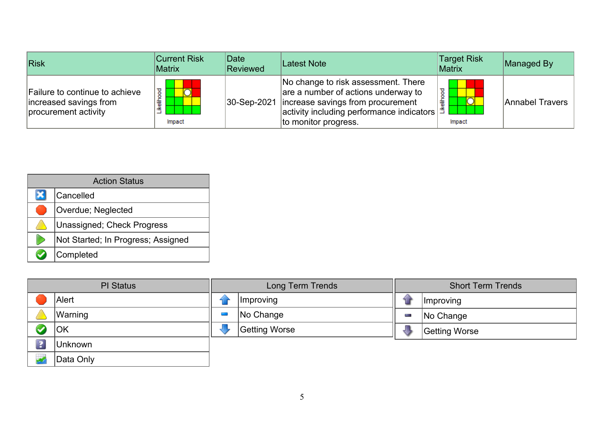| Risk                                                                             | <b>Current Risk</b><br><b>Matrix</b> | Date<br>Reviewed | Latest Note                                                                                                                                                                                                                         | <b>Target Risk</b><br>Matrix | Managed By      |
|----------------------------------------------------------------------------------|--------------------------------------|------------------|-------------------------------------------------------------------------------------------------------------------------------------------------------------------------------------------------------------------------------------|------------------------------|-----------------|
| Failure to continue to achieve<br>increased savings from<br>procurement activity | ष्ठ<br>₽<br>ikelih<br>Impact         |                  | No change to risk assessment. There<br>are a number of actions underway to<br>30-Sep-2021   increase savings from procurement<br>∣activity including performance indicators $  \tilde{\ddot{\mathbf{5}}}$ ⊾<br>to monitor progress. | Impact                       | Annabel Travers |

| <b>Action Status</b> |                                    |  |  |  |
|----------------------|------------------------------------|--|--|--|
|                      | Cancelled                          |  |  |  |
|                      | <b>Overdue; Neglected</b>          |  |  |  |
|                      | Unassigned; Check Progress         |  |  |  |
|                      | Not Started; In Progress; Assigned |  |  |  |
|                      | Completed                          |  |  |  |

| <b>PI Status</b>        |           | Long Term Trends |               |  | <b>Short Term Trends</b> |  |  |
|-------------------------|-----------|------------------|---------------|--|--------------------------|--|--|
|                         | Alert     |                  | Improving     |  | <i>Improving</i>         |  |  |
|                         | Warning   |                  | No Change     |  | No Change                |  |  |
|                         | OK        |                  | Getting Worse |  | Getting Worse            |  |  |
| $\overline{\mathbf{3}}$ | Unknown   |                  |               |  |                          |  |  |
|                         | Data Only |                  |               |  |                          |  |  |